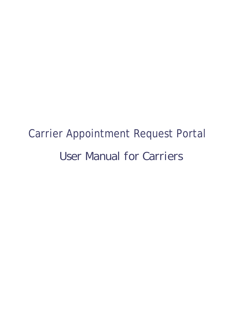# Carrier Appointment Request Portal *User Manual for Carriers*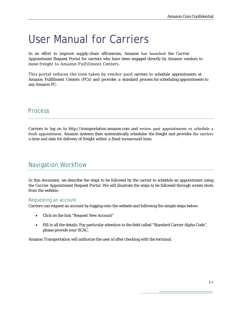# User Manual for Carriers

In an effort to improve supply-chain efficiencies, Amazon has launched the *Carrier Appointment Request Portal* for carriers who have been engaged directly by Amazon vendors to move freight to Amazon Fulfillment Centers.

This portal reduces the time taken by vendor-paid carriers to schedule appointments at Amazon Fulfillment Centers (FCs) and provides a standard process for scheduling appointments to any Amazon FC.

## **Process**

Carriers to log on to http://transportation.amazon.com and review past appointments or schedule a fresh appointment. Amazon systems then systematically schedules the freight and provides the carriers a time and date for delivery of freight within a fixed turnaround time.

## Navigation Workflow

In this document. we describe the steps to be followed by the carrier to schedule an appointment using the *Carrier Appointment Request Portal*. We will illustrate the steps to be followed through screen shots from the website.

#### Requesting an account

Carriers can request an account by logging onto the website and following the simple steps below:

- Click on the link "Request New Account"
- Fill in all the details. Pay particular attention to the field called "Standard Carrier Alpha Code", please provide your SCAC.

Amazon Transportation will authorize the user id after checking with the terminal.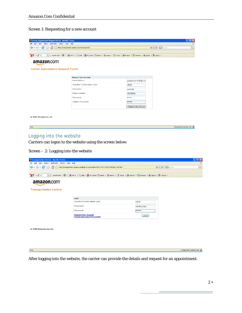#### Screen 1: Requesting for a new account

| Carrier Appointment Request Portal - Mozilla Firefox         |                                                                                                                                      |                       | $\mathbf{L}$ lak               |  |  |  |  |
|--------------------------------------------------------------|--------------------------------------------------------------------------------------------------------------------------------------|-----------------------|--------------------------------|--|--|--|--|
| History Bookmarks Yahoo! Tools Help<br>Edit<br>View.<br>File |                                                                                                                                      |                       |                                |  |  |  |  |
| $\bullet$<br>(x)<br>fish.                                    | https://transportation.amazon.com/newaccount.do                                                                                      |                       |                                |  |  |  |  |
|                                                              |                                                                                                                                      |                       |                                |  |  |  |  |
| $Y'$ $\ell$ $\cdot$                                          | v + Search Web v U v   @ Fall TV v I Mal v © My Yahoo! i News v @ Games v C Travel v B Finance v C Answers v © Sports v 1+ Sign In v |                       |                                |  |  |  |  |
| amazon.com<br><b>Carrier Appointment Request Portal</b>      |                                                                                                                                      |                       |                                |  |  |  |  |
|                                                              | <b>Request New Account</b>                                                                                                           |                       |                                |  |  |  |  |
|                                                              | <b>Email Address:</b>                                                                                                                | guruprakash.cr@ups.co |                                |  |  |  |  |
|                                                              | Standard Carrier Alpha Code:                                                                                                         | <b>UPSN</b>           |                                |  |  |  |  |
|                                                              | Username:                                                                                                                            | user0001              |                                |  |  |  |  |
|                                                              | Phone Number:                                                                                                                        | 298388399             |                                |  |  |  |  |
|                                                              | Password:                                                                                                                            | <b>ANAHANA</b>        |                                |  |  |  |  |
|                                                              | Confirm Password:                                                                                                                    | ANNOUNCE              |                                |  |  |  |  |
|                                                              |                                                                                                                                      | Request New Account   |                                |  |  |  |  |
| @ 2008 Amazon.com, Inc.                                      |                                                                                                                                      |                       |                                |  |  |  |  |
| Done                                                         |                                                                                                                                      |                       | transportation.amazon.com<br>⋒ |  |  |  |  |

# Logging into the website

Carriers can logon to the website using the screen below:

| Screen $-2$ : Logging into the website |  |  |  |
|----------------------------------------|--|--|--|
|                                        |  |  |  |

| <sup>3</sup> Transportation Central - Mozilla Firefox              |                                                                                                                                                                                         |                 | llə<br>B                  |  |  |  |  |
|--------------------------------------------------------------------|-----------------------------------------------------------------------------------------------------------------------------------------------------------------------------------------|-----------------|---------------------------|--|--|--|--|
| View Higtory Bookmarks Yahoo! Tools Help<br>Eile<br>Edit           |                                                                                                                                                                                         |                 |                           |  |  |  |  |
| $\blacksquare$ . $\blacksquare$ . $\blacksquare$<br>$\mathbb{R}^n$ | G- Google<br>$\begin{array}{c c c c} \hline \mathbf{a} & \mathbf{v} & \mathbf{b} \end{array}$<br>https://transportation.amazon.com/login.do;jsessionid=919E27784CC7CB59438F5BAC19594AF8 |                 |                           |  |  |  |  |
| $Y'$ $\ell$ $\cdot$                                                | ▼ + Search Web • U • @ Fall TV • © Mail • © My Yahoo! © News • @ Games • O Travel • @ Finance • © Answers • © Sports • D- Sign In •                                                     |                 |                           |  |  |  |  |
| amazon.com                                                         |                                                                                                                                                                                         |                 |                           |  |  |  |  |
| <b>Transportation Central</b>                                      |                                                                                                                                                                                         |                 |                           |  |  |  |  |
|                                                                    | Login                                                                                                                                                                                   |                 |                           |  |  |  |  |
|                                                                    | Standard Carrier Alpha Code:                                                                                                                                                            | UPGF            |                           |  |  |  |  |
|                                                                    | Username:                                                                                                                                                                               | derricky.carp   |                           |  |  |  |  |
|                                                                    | Password:                                                                                                                                                                               | <b>ANGELOUS</b> |                           |  |  |  |  |
|                                                                    | <b>Request New Account</b><br><b>Forgot Username/Password?</b>                                                                                                                          | Login           |                           |  |  |  |  |
|                                                                    |                                                                                                                                                                                         |                 |                           |  |  |  |  |
| © 2008 Amazon.com, Inc.                                            |                                                                                                                                                                                         |                 |                           |  |  |  |  |
|                                                                    |                                                                                                                                                                                         |                 |                           |  |  |  |  |
|                                                                    |                                                                                                                                                                                         |                 |                           |  |  |  |  |
|                                                                    |                                                                                                                                                                                         |                 |                           |  |  |  |  |
| Done                                                               |                                                                                                                                                                                         |                 | transportation.amazon.com |  |  |  |  |

After logging into the website, the carrier can provide the details and request for an appointment.

÷,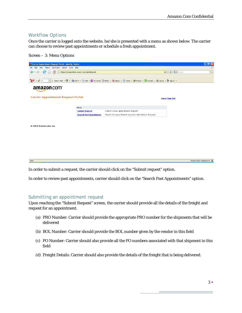#### Workflow Options

Once the carrier is logged onto the website, he/she is presented with a menu as shown below. The carrier can choose to review past appointments or schedule a fresh appointment.

#### Screen – 3: Menu Options



In order to submit a request, the carrier should click on the "Submit request" option.

In order to review past appointments, carrier should click on the "Search Past Appointments" option.

#### Submitting an appointment request

Upon reaching the "Submit Request" screen, the carrier should provide all the details of the freight and request for an appointment.

- (a) PRO Number: Carrier should provide the appropriate PRO number for the shipments that will be delivered
- (b) BOL Number: Carrier should provide the BOL number given by the vendor in this field
- (c) PO Number: Carrier should also provide all the PO numbers associated with that shipment in this field
- (d) Freight Details: Carrier should also provide the details of the freight that is being delivered.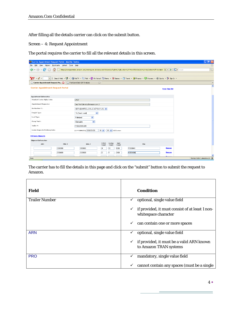After filling all the details carrier can click on the submit button.

Screen – 4: Request Appointment

The portal requires the carrier to fill all the relevant details in this screen.

| Carrier Appointment Request Portal - Mozilla Firefox                                     |                             |                                     |                                        |                 |               |                                                                                                                                  |                      | lal<br>u.                             |
|------------------------------------------------------------------------------------------|-----------------------------|-------------------------------------|----------------------------------------|-----------------|---------------|----------------------------------------------------------------------------------------------------------------------------------|----------------------|---------------------------------------|
| Edit<br><b>View</b><br>History<br>File                                                   | Bookmarks Yahoo! Tools Help |                                     |                                        |                 |               |                                                                                                                                  |                      | ₩                                     |
| $\sim$                                                                                   |                             |                                     |                                        |                 |               | Bill https://transportation.amazon.com/newrequest.do?sess=1607018atok=fOpfa%2FgbLvs5on%2FFMxXd4kiX8Ia63Lb%2F8QClp5Nz34GfF31WNjKD | <b>G</b> · Google    | $\mathbb{R}$                          |
| $\mathbf{Y}^{\prime}$ .<br>$\left\Vert \mathbf{v}\right\Vert \left\Vert \Phi\right\Vert$ | Search Web $\bullet$        |                                     |                                        |                 |               | G Final TV + Q Mail + Q My Yahoo! ① News + Q Games + C Travel + Q Finance + C Answers + C Sports + D Form +                      |                      |                                       |
| Carrier Appointment Request Po                                                           |                             | Fast Lane Daily GAP Analysis        | $\begin{array}{c} \square \end{array}$ |                 |               |                                                                                                                                  |                      | $\overline{\phantom{a}}$              |
| <b>Carrier Appointment Request Portal</b>                                                |                             |                                     |                                        |                 |               |                                                                                                                                  | <b>Home Sign Out</b> | $\hat{\phantom{a}}$                   |
| <b>Appointment Information</b>                                                           |                             |                                     |                                        |                 |               |                                                                                                                                  |                      |                                       |
| Standard Carrier Alpha Code:                                                             |                             | <b>UPGF</b>                         |                                        |                 |               |                                                                                                                                  |                      |                                       |
| <b>Appointment Requester:</b>                                                            |                             | Carp Test (derricky@amazon.com; )   |                                        |                 |               |                                                                                                                                  |                      |                                       |
| <b>Destination FC:</b>                                                                   |                             | SDF1 (CAMPBELLSVILLE,42718,KY,US) V |                                        |                 |               |                                                                                                                                  |                      |                                       |
| Freight Type:                                                                            |                             | ×<br>TL (Truck Load)                |                                        |                 |               |                                                                                                                                  |                      |                                       |
| Load Type:                                                                               |                             | $\checkmark$<br>Palletized          |                                        |                 |               |                                                                                                                                  |                      |                                       |
| Clamp Truck:                                                                             |                             | $\checkmark$<br>Clampable           |                                        |                 |               |                                                                                                                                  |                      |                                       |
| Trailer $#$ :                                                                            |                             | KY02-29383-299                      |                                        |                 |               |                                                                                                                                  |                      |                                       |
| <b>Carrier Requested Delivery Date:</b>                                                  |                             | (YYYY/MM/DD) 2008/09/20             | $10 - 4$                               | 00 V US/Eastern |               |                                                                                                                                  |                      |                                       |
| <b>Add more shipments</b>                                                                |                             |                                     |                                        |                 |               |                                                                                                                                  |                      |                                       |
| <b>Shipment Information</b>                                                              |                             |                                     |                                        |                 |               |                                                                                                                                  |                      |                                       |
| <b>ARN</b>                                                                               | PROF                        | BOL $#$                             | Pallet<br>Count                        | Carton<br>Count | Unit<br>Count | PQs                                                                                                                              |                      |                                       |
|                                                                                          | 2930399                     | 3993002                             | 24                                     | 10              | 1000          | P3938840                                                                                                                         | <b>Remove</b>        |                                       |
|                                                                                          | 2938499                     | 2039939                             | 22                                     | 5               | 2100          | N3994840                                                                                                                         | <b>Remove</b>        |                                       |
|                                                                                          |                             |                                     |                                        |                 |               |                                                                                                                                  | <b>Dansen</b>        | $\checkmark$                          |
| Done                                                                                     |                             |                                     |                                        |                 |               |                                                                                                                                  |                      | $\Omega$<br>transportation.amazon.com |

The carrier has to fill the details in this page and click on the "submit" button to submit the request to Amazon.

| Field                 | <b>Condition</b>                                                                        |
|-----------------------|-----------------------------------------------------------------------------------------|
| <b>Trailer Number</b> | optional, single value field<br>✓                                                       |
|                       | if provided, it must consist of at least 1 non-<br>$\checkmark$<br>whitespace character |
|                       | can contain one or more spaces<br>✓                                                     |
| <b>ARN</b>            | optional, single value field<br>$\checkmark$                                            |
|                       | if provided, it must be a valid ARN known<br>$\checkmark$<br>to Amazon TRAN systems     |
| <b>PRO</b>            | mandatory, single value field<br>✓                                                      |
|                       | cannot contain any spaces (must be a single<br>$\checkmark$                             |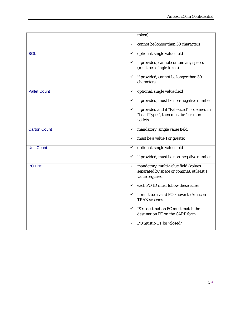|                     | token)                                                                                                  |
|---------------------|---------------------------------------------------------------------------------------------------------|
|                     | cannot be longer than 30 characters<br>✓                                                                |
| <b>BOL</b>          | optional, single value field<br>✓                                                                       |
|                     | if provided, cannot contain any spaces<br>✓<br>(must be a single token)                                 |
|                     | if provided, cannot be longer than 30<br>✓<br>characters                                                |
| <b>Pallet Count</b> | optional, single value field<br>$\checkmark$                                                            |
|                     | if provided, must be non-negative number<br>✓                                                           |
|                     | if provided and if "Palletized" is defined in<br>✓<br>"Load Type:", then must be 1 or more<br>pallets   |
| <b>Carton Count</b> | mandatory, single value field<br>✓                                                                      |
|                     | must be a value 1 or greater<br>✓                                                                       |
| <b>Unit Count</b>   | optional, single value field<br>✓                                                                       |
|                     | if provided, must be non-negative number                                                                |
| <b>PO List</b>      | mandatory, multi-value field (values<br>✓<br>separated by space or comma), at least 1<br>value required |
|                     | each PO ID must follow these rules:<br>✓                                                                |
|                     | it must be a valid PO known to Amazon<br>✓<br><b>TRAN</b> systems                                       |
|                     | PO's destination FC must match the<br>✓<br>destination FC on the CARP form                              |
|                     | PO must NOT be "closed"<br>✓                                                                            |

Ξ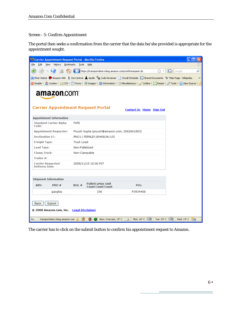#### Screen - 5: Confirm Appointment

The portal then seeks a confirmation from the carrier that the data he/she provided is appropriate for the appointment sought.

| Carrier Appointment Request Portal - Mozilla Firefox                |                                                              |                                                                                                                                                      |
|---------------------------------------------------------------------|--------------------------------------------------------------|------------------------------------------------------------------------------------------------------------------------------------------------------|
| Edit<br>View.<br>History<br>Eile                                    | Bookmarks Tools<br>Help                                      |                                                                                                                                                      |
|                                                                     | https://transportation.integ.amazon.com/confirmrequest.do    | $ G \cdot$ Google<br>α<br>12 →                                                                                                                       |
|                                                                     |                                                              | D Most Visited M Amazon Wiki i DevCentral A Apollo C <sub>R</sub> Code Reviewer Concall Schedule C Shared Documents W Main Page - Wikipedia<br>$\gg$ |
|                                                                     |                                                              | O Disable * & Cookies * 33 CSS * E Forms * III Images * 1 Information * Miscellaneous * A Outline * # & Resize * A Tools * & View Source *           |
| amazon.com                                                          | <b>Carrier Appointment Request Portal</b>                    | <b>Contact Us Home Sign Out</b>                                                                                                                      |
| <b>Appointment Information</b>                                      |                                                              |                                                                                                                                                      |
| <b>Standard Carrier Alpha</b><br>Code:                              | <b>FXFE</b>                                                  |                                                                                                                                                      |
| <b>Appointment Requester:</b>                                       | Piyush Gupta (piyush@amazon.com; 2062661803)                 |                                                                                                                                                      |
| <b>Destination FC:</b>                                              | RNO1 (FERNLEY,89408,NV,US)                                   |                                                                                                                                                      |
| <b>Freight Type:</b>                                                | Truck Load                                                   |                                                                                                                                                      |
| Load Type:                                                          | Non-Palletized                                               |                                                                                                                                                      |
| <b>Clamp Truck:</b>                                                 | Non-Clampable                                                |                                                                                                                                                      |
| Trailer #:                                                          |                                                              |                                                                                                                                                      |
| <b>Carrier Requested</b><br>Delivery Date:                          | 2008/11/15 10:00 PST                                         |                                                                                                                                                      |
|                                                                     |                                                              |                                                                                                                                                      |
| <b>Shipment Information</b>                                         |                                                              |                                                                                                                                                      |
| ARN<br>PRO#                                                         | <b>PalletCarton Unit</b><br>BOL#<br><b>Count Count Count</b> | <b>POs</b>                                                                                                                                           |
| gasgfas                                                             | 156                                                          | P3934408                                                                                                                                             |
| Submit<br><b>Back</b><br>© 2008 Amazon.com, Inc. - Legal Disclaimer |                                                              |                                                                                                                                                      |
| Do<br>transportation.integ.amazon.com                               | G<br>$\bullet$<br>Now: Overcast, $14^{\circ}$ C              | Tue: $15^{\circ}$ C<br>Mon: $16^{\circ}$ C<br>Wed: $14^{\circ}$ C $\sqrt[3]{2}$                                                                      |

The carrier has to click on the submit button to confirm his appointment request to Amazon.

Ė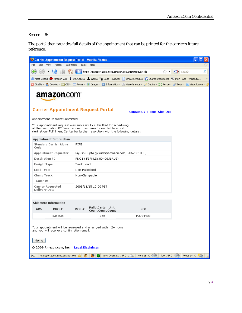Screen – 6:

The portal then provides full details of the appointment that can be printed for the carrier's future reference.

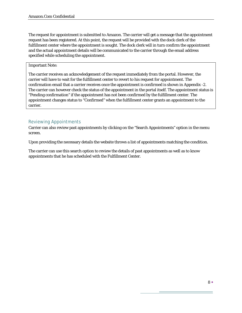The request for appointment is submitted to Amazon. The carrier will get a message that the appointment request has been registered. At this point, the request will be provided with the dock clerk of the fulfillment center where the appointment is sought. The dock clerk will in turn confirm the appointment and the actual appointment details will be communicated to the carrier through the email address specified while scheduling the appointment.

#### Important Note:

The carrier receives an acknowledgement of the request immediately from the portal. However, the carrier will have to wait for the fulfillment center to revert to his request for appointment. The confirmation email that a carrier receives once the appointment is confirmed is shown in Appendix -2. The carrier can however check the status of the appointment in the portal itself. The appointment status is "Pending confirmation" if the appointment has not been confirmed by the fulfillment center. The appointment changes status to "Confirmed" when the fulfillment center grants an appointment to the carrier.

#### Reviewing Appointments

Carrier can also review past appointments by clicking on the "Search Appointments" option in the menu screen.

Upon providing the necessary details the website throws a list of appointments matching the condition.

The carrier can use this search option to review the details of past appointments as well as to know appointments that he has scheduled with the Fulfillment Center.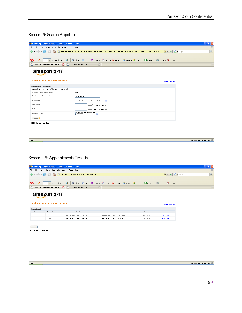#### Screen -5: Search Appointment

| Carrier Appointment Request Portal - Mozilla Firefox     |                                                                                                                                             | 同                                 |
|----------------------------------------------------------|---------------------------------------------------------------------------------------------------------------------------------------------|-----------------------------------|
| View History Bookmarks Yahoo! Tools Help<br>Edit<br>File |                                                                                                                                             | S.                                |
| $\Rightarrow$ $\cdot$ $\bullet$<br>医油<br>Tel:            | Fiktps://transportation.amazon.com/searchdispatch.do?sess=1607018atok=eiiZsOz1EkUHP2aV%2FYv2NtZHsV2ae75eb65wpsIiaetso5o9%2BV3Ktq <> < < < < | $\mathbb{Q}$<br><b>G</b> · Google |
|                                                          |                                                                                                                                             |                                   |
| $\mathbf{Y}^{\prime}$ ( $\ell$ -                         |                                                                                                                                             |                                   |
| Carrier Appointment Request Po                           | Fast Lane Daily GAP Analysis<br>$\begin{array}{c} \square \end{array}$                                                                      | $\!\star$                         |
| amazon.com<br><b>Carrier Appointment Request Portal</b>  | <b>Home Sign Out</b>                                                                                                                        |                                   |
| <b>Search Appointment Request</b>                        |                                                                                                                                             |                                   |
| Please fill in one or more of the search criteria below. |                                                                                                                                             |                                   |
| Standard Carrier Alpha Code:                             | UPGF                                                                                                                                        |                                   |
| Appointment Requester Id:                                | derricky.carp                                                                                                                               |                                   |
| <b>Destination FC:</b>                                   | SDF1 (CAMPBELLSVILLE,42718,KY,US) V                                                                                                         |                                   |
| From Date:                                               | (YYYY/MM/DD) US/Eastern                                                                                                                     |                                   |
| To Date:                                                 | (YYYY/MM/DD) US/Eastern                                                                                                                     |                                   |
| <b>Request State:</b>                                    | Confirmed<br>$\overline{\mathbf{v}}$                                                                                                        |                                   |
| Search                                                   |                                                                                                                                             |                                   |
| © 2008 Amazon.com, Inc.                                  |                                                                                                                                             |                                   |

| transportation.amazon.com |
|---------------------------|
|---------------------------|

#### Screen – 6: Appointments Results

| Carrier Appointment Request Portal - Mozilla Firefox                                                                                        |   |
|---------------------------------------------------------------------------------------------------------------------------------------------|---|
| File Edit View History Bookmarks Yahoo! Tools Help                                                                                          |   |
| ( C C C https://transportation.amazon.com/searchappt.do                                                                                     | Q |
|                                                                                                                                             |   |
| Y · 2 · T + Search Web · U · S Fall TV · 2 Mail · @ My Yahoo! T News · @ Games · C Travel · @ Finance · @ Answers · C Sports · D Sports · D |   |
| Carrier Appointment Request Po <b>3 Fast Lane Daily GAP Analysis</b><br>- 8                                                                 |   |
| amazon.com                                                                                                                                  |   |

| <b>Carrier Appointment Request Portal</b><br><b>Home Sign Out</b> |                |                              |                              |           |             |  |  |
|-------------------------------------------------------------------|----------------|------------------------------|------------------------------|-----------|-------------|--|--|
| Search Result                                                     |                |                              |                              |           |             |  |  |
| <b>Request Id</b>                                                 | Appointment Id | Start                        | <b>Fnd</b>                   | Status    |             |  |  |
| 3                                                                 | 20100013       | Sat Sep 05 21:00:00 PDT 2009 | Sat Sep 05 22:00:00 PDT 2009 | Confirmed | More detail |  |  |
| $\overline{2}$                                                    | 20099013       | Wed Sep 02 21:00:00 PDT 2009 | Wed Sep 02 22:00:00 PDT 2009 | Confirmed | More detail |  |  |

 $Home$ 

Done

Done

© 2008 Amazon.com, Inc.

 $\begin{tabular}{|c|c|} \hline \texttt{transportion.amazon.com} & \underline{\textbf{G}} \\ \hline \end{tabular}$ 

÷,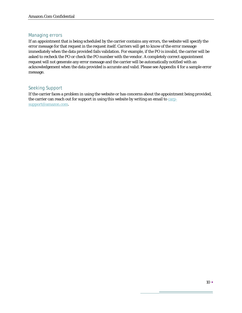#### Managing errors

If an appointment that is being scheduled by the carrier contains any errors, the website will specify the error message for that request in the request itself. Carriers will get to know of the error message immediately when the data provided fails validation. For example, if the PO is invalid, the carrier will be asked to recheck the PO or check the PO number with the vendor. A completely correct appointment request will not generate any error message and the carrier will be automatically notified with an acknowledgement when the data provided is accurate and valid. Please see Appendix 4 for a sample error message.

#### Seeking Support

If the carrier faces a problem in using the website or has concerns about the appointment being provided, the carrier can reach out for support in using this website by writing an email to carpsupport@amazon.com.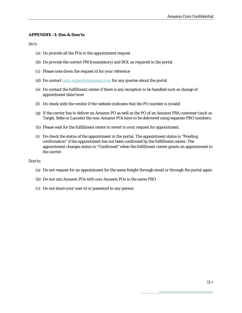#### **APPENDIX -1: Dos & Don'ts**

Do's:

- (a) Do provide all the POs in the appointment request
- (b) Do provide the correct PRO(mandatory) and BOL as required in the portal
- (c) Please note down the request id for your reference
- (d) Do contact carp-support@amazon.com for any queries about the portal
- (e) Do contact the fulfillment center if there is any exception to be handled such as change of appointment date/time
- (f) Do check with the vendor if the website indicates that the PO number is invalid
- (g) If the carrier has to deliver an Amazon PO as well as the PO of an Amazon FBA customer (such as Target, Bebe or Lacoste) the non-Amazon POs have to be delivered using separate PRO numbers.
- (h) Please wait for the fulfillment center to revert to your request for appointment.
- (i) Do check the status of the appointment in the portal. The appointment status is "Pending confirmation" if the appointment has not been confirmed by the fulfillment center. The appointment changes status to "Confirmed" when the fulfillment center grants an appointment to the carrier.

#### Don'ts:

- (a) Do not request for an appointment for the same freight through email or through the portal again
- (b) Do not mix Amazon POs with non-Amazon POs in the same PRO
- (c) Do not share your user id or password to any person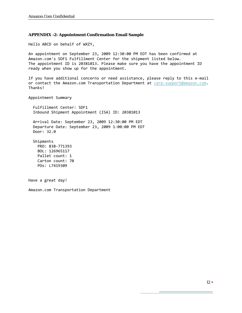#### **APPENDIX -2: Appointment Confirmation Email Sample**

Hello ABCD on behalf of WXZY,

An appointment on September 23, 2009 12:30:00 PM EDT has been confirmed at Amazon.com's SDF1 Fulfillment Center for the shipment listed below. The appointment ID is 20381013. Please make sure you have the appointment ID ready when you show up for the appointment.

If you have additional concerns or need assistance, please reply to this e-mail or contact the Amazon.com Transportation Department at carp-support@amazon.com. Thanks!

Appointment Summary

 Fulfillment Center: SDF1 Inbound Shipment Appointment (ISA) ID: 20381013

 Arrival Date: September 23, 2009 12:30:00 PM EDT Departure Date: September 23, 2009 1:00:00 PM EDT Door: 32.0

 Shipments PRO: 838‐771393 BOL: 126965117 Pallet count: 1 Carton count: 70 POs: L7419309

Have a great day!

Amazon.com Transportation Department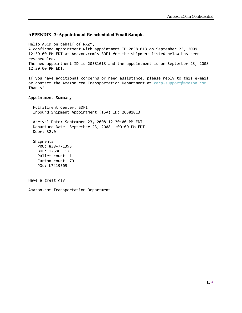#### **APPENDIX -3: Appointment Re-scheduled Email Sample**

Hello ABCD on behalf of WXZY, A confirmed appointment with appointment ID 20381013 on September 23, 2009 12:30:00 PM EDT at Amazon.com's SDF1 for the shipment listed below has been rescheduled. The new appointment ID is 20381013 and the appointment is on September 23, 2008 12:30:00 PM EDT. If you have additional concerns or need assistance, please reply to this e-mail or contact the Amazon.com Transportation Department at carp-support@amazon.com. Thanks! Appointment Summary Fulfillment Center: SDF1 Inbound Shipment Appointment (ISA) ID: 20381013 Arrival Date: September 23, 2008 12:30:00 PM EDT Departure Date: September 23, 2008 1:00:00 PM EDT Door: 32.0 Shipments PRO: 838‐771393 BOL: 126965117 Pallet count: 1 Carton count: 70 POs: L7419309 Have a great day! Amazon.com Transportation Department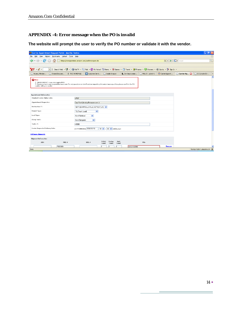#### **APPENDIX -4: Error message when the PO is invalid**

**The website will prompt the user to verify the PO number or validate it with the vendor.** 

| Carrier Appointment Request Portal - Mozilla Firefox                              |                                                                                |                                                                                                                                        |                                    |               |                |                          |                        | ll all<br>u               |
|-----------------------------------------------------------------------------------|--------------------------------------------------------------------------------|----------------------------------------------------------------------------------------------------------------------------------------|------------------------------------|---------------|----------------|--------------------------|------------------------|---------------------------|
| Edit<br>View.<br>File                                                             | History Bookmarks Yahoo! Tools Help                                            |                                                                                                                                        |                                    |               |                |                          |                        |                           |
|                                                                                   |                                                                                | https://transportation.amazon.com/confirmrequest.do                                                                                    |                                    |               |                | $\circ$ $\bullet$        | $G \cdot$ Google       | Q                         |
|                                                                                   |                                                                                |                                                                                                                                        |                                    |               |                |                          |                        |                           |
| $Y' \ell$                                                                         | $\blacktriangledown$ $\ket{\psi}$ Search Web $\blacktriangledown$ $\ket{\psi}$ | Si Fall TV + © Mail + © My Yahoo! Si News + © Games + Ci Travel + © Finance + © Answers + © Sports + 1+ Sign In +                      |                                    |               |                |                          |                        |                           |
| Access, Membe                                                                     | Shared Docume                                                                  | Customer Servi<br><b>i</b> TOC HOMEPAGE                                                                                                | Thide Amazon                       | Env Improveme | http://ubmit=1 | <b>M</b> Carrier Appoint | <b>Carrier Ap., Ex</b> | EI Console (Ev            |
| <b>B</b> Error<br>> 'ABSDS90990' is an unrecognized PO<br>number with your vendor |                                                                                | > Please contact carp-support@amazon.com for any questions or clarifications regarding this error message. Also, please confirm the PO |                                    |               |                |                          |                        | $\Delta$                  |
| <b>Appointment Information</b>                                                    |                                                                                |                                                                                                                                        |                                    |               |                |                          |                        |                           |
| Standard Carrier Alpha Code:                                                      |                                                                                | <b>UPGF</b>                                                                                                                            |                                    |               |                |                          |                        |                           |
| <b>Appointment Requester:</b>                                                     |                                                                                | Carp Test (derricky@amazon.com; )                                                                                                      |                                    |               |                |                          |                        |                           |
| <b>Destination FC:</b>                                                            |                                                                                | SDF1 (CAMPBELLSVILLE,42718,KY,US) V                                                                                                    |                                    |               |                |                          |                        |                           |
| Freight Type:                                                                     |                                                                                | $\checkmark$<br>TL (Truck Load)                                                                                                        |                                    |               |                |                          |                        |                           |
| Load Type:                                                                        |                                                                                | $\checkmark$<br>Non-Palletized                                                                                                         |                                    |               |                |                          |                        |                           |
| Clamp Truck:                                                                      |                                                                                | $\checkmark$<br>Non-Clampable                                                                                                          |                                    |               |                |                          |                        |                           |
| Trailer #:                                                                        |                                                                                | H9898                                                                                                                                  |                                    |               |                |                          |                        |                           |
| <b>Carrier Requested Delivery Date:</b>                                           |                                                                                | (YYYY/MM/DD) 2008/10/10                                                                                                                | 10 v   00 v US/Eastern             |               |                |                          |                        |                           |
| <b>Add more shipments</b>                                                         |                                                                                |                                                                                                                                        |                                    |               |                |                          |                        |                           |
| <b>Shipment Information</b>                                                       |                                                                                |                                                                                                                                        |                                    |               |                |                          |                        |                           |
| <b>ARN</b>                                                                        | PRO #                                                                          | BOL $#$                                                                                                                                | Pallet<br>Carton<br>Count<br>Count | Unit<br>Count | POs            |                          |                        |                           |
|                                                                                   | P990909                                                                        |                                                                                                                                        | l9<br>l9<br>l9                     | ABSDS90990    |                | <b>Remove</b>            |                        |                           |
| Done                                                                              |                                                                                |                                                                                                                                        |                                    |               |                |                          |                        | transportation.amazon.com |

 $\equiv$